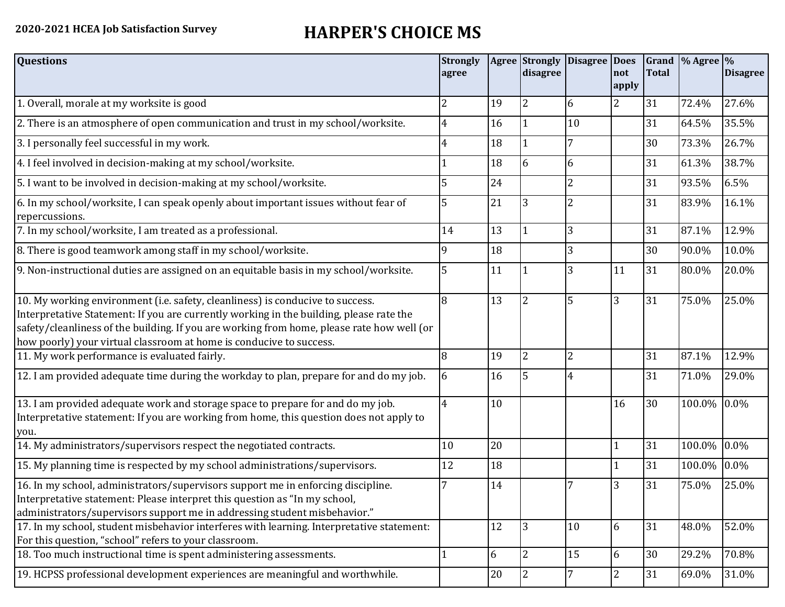## **2020-2021 HCEA Job Satisfaction Survey HARPER'S CHOICE MS**

| <b>Questions</b>                                                                                                                                                                                                                                                                                                                               | <b>Strongly</b><br>agree |        | disagree       | Agree Strongly Disagree Does | not<br>apply   | <b>Total</b> | Grand  % Agree  % | <b>Disagree</b> |
|------------------------------------------------------------------------------------------------------------------------------------------------------------------------------------------------------------------------------------------------------------------------------------------------------------------------------------------------|--------------------------|--------|----------------|------------------------------|----------------|--------------|-------------------|-----------------|
| 1. Overall, morale at my worksite is good                                                                                                                                                                                                                                                                                                      | 2                        | 19     | 2              | 6                            | $\overline{2}$ | 31           | 72.4%             | 27.6%           |
| 2. There is an atmosphere of open communication and trust in my school/worksite.                                                                                                                                                                                                                                                               | $\overline{4}$           | 16     |                | 10                           |                | 31           | 64.5%             | 35.5%           |
| 3. I personally feel successful in my work.                                                                                                                                                                                                                                                                                                    | 4                        | 18     |                | 7                            |                | 30           | 73.3%             | 26.7%           |
| 4. I feel involved in decision-making at my school/worksite.                                                                                                                                                                                                                                                                                   |                          | 18     | 6              | 6                            |                | 31           | 61.3%             | 38.7%           |
| 5. I want to be involved in decision-making at my school/worksite.                                                                                                                                                                                                                                                                             | 5                        | 24     |                | $\overline{2}$               |                | 31           | 93.5%             | 6.5%            |
| 6. In my school/worksite, I can speak openly about important issues without fear of<br>repercussions.                                                                                                                                                                                                                                          |                          | 21     | 3              | $\overline{2}$               |                | 31           | 83.9%             | 16.1%           |
| 7. In my school/worksite, I am treated as a professional.                                                                                                                                                                                                                                                                                      | 14                       | 13     |                | 3                            |                | 31           | 87.1%             | 12.9%           |
| 8. There is good teamwork among staff in my school/worksite.                                                                                                                                                                                                                                                                                   | 9                        | 18     |                | 3                            |                | 30           | 90.0%             | 10.0%           |
| 9. Non-instructional duties are assigned on an equitable basis in my school/worksite.                                                                                                                                                                                                                                                          | 5                        | 11     |                | 3                            | 11             | 31           | 80.0%             | 20.0%           |
| 10. My working environment (i.e. safety, cleanliness) is conducive to success.<br>Interpretative Statement: If you are currently working in the building, please rate the<br>safety/cleanliness of the building. If you are working from home, please rate how well (or<br>how poorly) your virtual classroom at home is conducive to success. | 8                        | 13     | $\overline{2}$ | 5                            | $\overline{3}$ | 31           | 75.0%             | 25.0%           |
| 11. My work performance is evaluated fairly.                                                                                                                                                                                                                                                                                                   | 8                        | 19     | 2              | $\overline{2}$               |                | 31           | 87.1%             | 12.9%           |
| 12. I am provided adequate time during the workday to plan, prepare for and do my job.                                                                                                                                                                                                                                                         | 6                        | 16     | 5              | 4                            |                | 31           | 71.0%             | 29.0%           |
| 13. I am provided adequate work and storage space to prepare for and do my job.<br>Interpretative statement: If you are working from home, this question does not apply to<br>you.                                                                                                                                                             | 4                        | 10     |                |                              | 16             | 30           | 100.0% 0.0%       |                 |
| 14. My administrators/supervisors respect the negotiated contracts.                                                                                                                                                                                                                                                                            | 10                       | 20     |                |                              |                | 31           | 100.0%            | 0.0%            |
| 15. My planning time is respected by my school administrations/supervisors.                                                                                                                                                                                                                                                                    | 12                       | 18     |                |                              |                | 31           | 100.0%            | $0.0\%$         |
| 16. In my school, administrators/supervisors support me in enforcing discipline.<br>Interpretative statement: Please interpret this question as "In my school,<br>administrators/supervisors support me in addressing student misbehavior."                                                                                                    |                          | 14     |                |                              | 3              | 31           | 75.0%             | 25.0%           |
| 17. In my school, student misbehavior interferes with learning. Interpretative statement:<br>For this question, "school" refers to your classroom.                                                                                                                                                                                             |                          | 12     | 3              | 10                           | 6              | 31           | 48.0%             | 52.0%           |
| 18. Too much instructional time is spent administering assessments.                                                                                                                                                                                                                                                                            | 1                        | 6      | 2              | 15                           | 6              | 30           | 29.2%             | 70.8%           |
| 19. HCPSS professional development experiences are meaningful and worthwhile.                                                                                                                                                                                                                                                                  |                          | $20\,$ | $\overline{2}$ | $\overline{7}$               | $\overline{2}$ | 31           | 69.0%             | 31.0%           |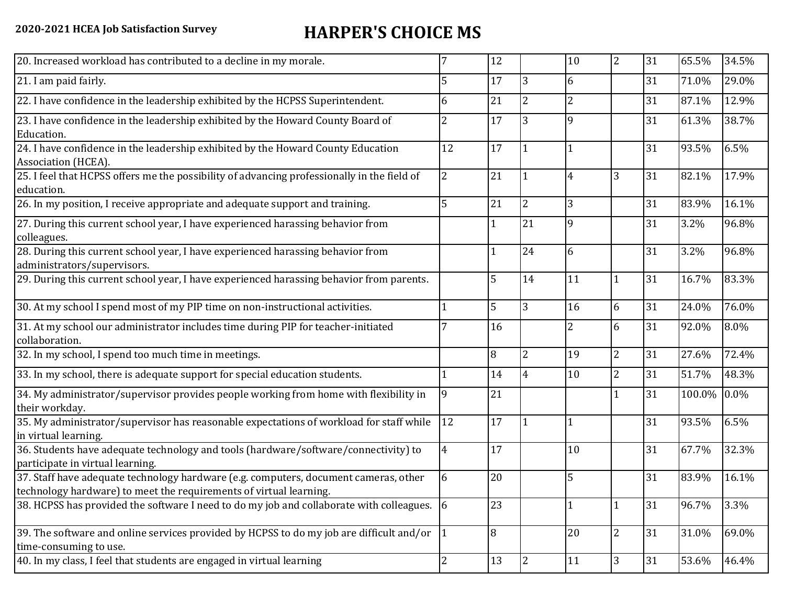## **2020-2021 HCEA Job Satisfaction Survey HARPER'S CHOICE MS**

| 20. Increased workload has contributed to a decline in my morale.                                                                                          |                | 12             |                | 10             | 2              | 31 | 65.5%  | 34.5% |
|------------------------------------------------------------------------------------------------------------------------------------------------------------|----------------|----------------|----------------|----------------|----------------|----|--------|-------|
| 21. I am paid fairly.                                                                                                                                      | 5              | 17             | 3              | 6              |                | 31 | 71.0%  | 29.0% |
| 22. I have confidence in the leadership exhibited by the HCPSS Superintendent.                                                                             | 6              | 21             | 2              | $\overline{2}$ |                | 31 | 87.1%  | 12.9% |
| 23. I have confidence in the leadership exhibited by the Howard County Board of<br>Education.                                                              | 2              | 17             | 3              | 9              |                | 31 | 61.3%  | 38.7% |
| 24. I have confidence in the leadership exhibited by the Howard County Education<br>Association (HCEA).                                                    | 12             | 17             |                | $\mathbf{1}$   |                | 31 | 93.5%  | 6.5%  |
| 25. I feel that HCPSS offers me the possibility of advancing professionally in the field of<br>education.                                                  | $\overline{2}$ | 21             |                | $\overline{4}$ | 3              | 31 | 82.1%  | 17.9% |
| 26. In my position, I receive appropriate and adequate support and training.                                                                               | 5              | 21             | $\overline{2}$ | 3              |                | 31 | 83.9%  | 16.1% |
| 27. During this current school year, I have experienced harassing behavior from<br>colleagues.                                                             |                |                | 21             | 9              |                | 31 | 3.2%   | 96.8% |
| 28. During this current school year, I have experienced harassing behavior from<br>administrators/supervisors.                                             |                |                | 24             | 6              |                | 31 | 3.2%   | 96.8% |
| 29. During this current school year, I have experienced harassing behavior from parents.                                                                   |                | 5              | 14             | 11             | $\mathbf 1$    | 31 | 16.7%  | 83.3% |
| 30. At my school I spend most of my PIP time on non-instructional activities.                                                                              | 1              | $\overline{5}$ | 3              | 16             | 6              | 31 | 24.0%  | 76.0% |
| 31. At my school our administrator includes time during PIP for teacher-initiated<br>collaboration.                                                        |                | 16             |                | $\overline{2}$ | 6              | 31 | 92.0%  | 8.0%  |
| 32. In my school, I spend too much time in meetings.                                                                                                       |                | $\overline{8}$ | $\overline{2}$ | 19             | $\overline{2}$ | 31 | 27.6%  | 72.4% |
| 33. In my school, there is adequate support for special education students.                                                                                |                | 14             | $\overline{4}$ | 10             | $\overline{2}$ | 31 | 51.7%  | 48.3% |
| 34. My administrator/supervisor provides people working from home with flexibility in<br>their workday.                                                    | 9              | 21             |                |                | $\mathbf{1}$   | 31 | 100.0% | 0.0%  |
| 35. My administrator/supervisor has reasonable expectations of workload for staff while<br>in virtual learning.                                            | 12             | 17             |                | $\mathbf{1}$   |                | 31 | 93.5%  | 6.5%  |
| 36. Students have adequate technology and tools (hardware/software/connectivity) to<br>participate in virtual learning.                                    | $\overline{4}$ | 17             |                | 10             |                | 31 | 67.7%  | 32.3% |
| 37. Staff have adequate technology hardware (e.g. computers, document cameras, other<br>technology hardware) to meet the requirements of virtual learning. | 6              | 20             |                | 5              |                | 31 | 83.9%  | 16.1% |
| 38. HCPSS has provided the software I need to do my job and collaborate with colleagues. 6                                                                 |                | 23             |                | $\mathbf{1}$   | $\mathbf{1}$   | 31 | 96.7%  | 3.3%  |
| 39. The software and online services provided by HCPSS to do my job are difficult and/or<br>time-consuming to use.                                         |                | 8              |                | 20             | $\overline{2}$ | 31 | 31.0%  | 69.0% |
| 40. In my class, I feel that students are engaged in virtual learning                                                                                      | $\overline{2}$ | 13             | 2              | 11             | 3              | 31 | 53.6%  | 46.4% |